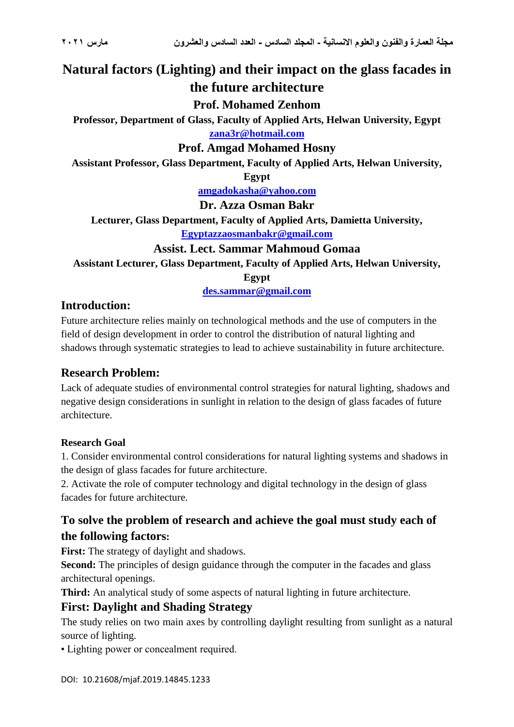# **Natural factors (Lighting) and their impact on the glass facades in the future architecture**

### **Prof. Mohamed Zenhom**

**Professor, Department of Glass, Faculty of Applied Arts, Helwan University, Egypt [zana3r@hotmail.com](mailto:zana3r@hotmail.com)**

### **Prof. Amgad Mohamed Hosny**

**Assistant Professor, Glass Department, Faculty of Applied Arts, Helwan University,** 

**Egypt**

**[amgadokasha@yahoo.com](mailto:amgadokasha@yahoo.com)**

**Dr. Azza Osman Bakr**

**Lecturer, Glass Department, Faculty of Applied Arts, Damietta University,** 

**[Egyptazzaosmanbakr@gmail.com](mailto:Egyptazzaosmanbakr@gmail.com)**

### **Assist. Lect. Sammar Mahmoud Gomaa**

**Assistant Lecturer, Glass Department, Faculty of Applied Arts, Helwan University,** 

**Egypt**

**[des.sammar@gmail.com](mailto:des.sammar@gmail.com)**

### **Introduction:**

Future architecture relies mainly on technological methods and the use of computers in the field of design development in order to control the distribution of natural lighting and shadows through systematic strategies to lead to achieve sustainability in future architecture.

## **Research Problem:**

Lack of adequate studies of environmental control strategies for natural lighting, shadows and negative design considerations in sunlight in relation to the design of glass facades of future architecture.

### **Research Goal**

1. Consider environmental control considerations for natural lighting systems and shadows in the design of glass facades for future architecture.

2. Activate the role of computer technology and digital technology in the design of glass facades for future architecture.

# **To solve the problem of research and achieve the goal must study each of the following factors:**

First: The strategy of daylight and shadows.

**Second:** The principles of design guidance through the computer in the facades and glass architectural openings.

**Third:** An analytical study of some aspects of natural lighting in future architecture.

## **First: Daylight and Shading Strategy**

The study relies on two main axes by controlling daylight resulting from sunlight as a natural source of lighting.

• Lighting power or concealment required.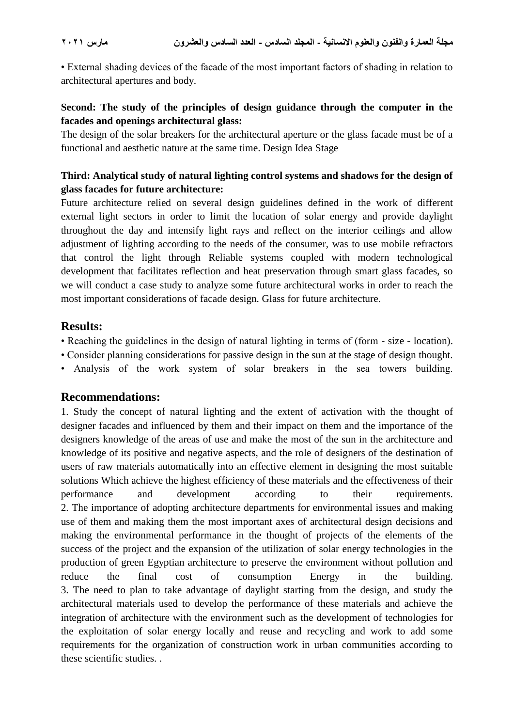• External shading devices of the facade of the most important factors of shading in relation to architectural apertures and body.

### **Second: The study of the principles of design guidance through the computer in the facades and openings architectural glass:**

The design of the solar breakers for the architectural aperture or the glass facade must be of a functional and aesthetic nature at the same time. Design Idea Stage

### **Third: Analytical study of natural lighting control systems and shadows for the design of glass facades for future architecture:**

Future architecture relied on several design guidelines defined in the work of different external light sectors in order to limit the location of solar energy and provide daylight throughout the day and intensify light rays and reflect on the interior ceilings and allow adjustment of lighting according to the needs of the consumer, was to use mobile refractors that control the light through Reliable systems coupled with modern technological development that facilitates reflection and heat preservation through smart glass facades, so we will conduct a case study to analyze some future architectural works in order to reach the most important considerations of facade design. Glass for future architecture.

### **Results:**

- Reaching the guidelines in the design of natural lighting in terms of (form size location).
- Consider planning considerations for passive design in the sun at the stage of design thought.
- Analysis of the work system of solar breakers in the sea towers building.

### **Recommendations:**

1. Study the concept of natural lighting and the extent of activation with the thought of designer facades and influenced by them and their impact on them and the importance of the designers knowledge of the areas of use and make the most of the sun in the architecture and knowledge of its positive and negative aspects, and the role of designers of the destination of users of raw materials automatically into an effective element in designing the most suitable solutions Which achieve the highest efficiency of these materials and the effectiveness of their performance and development according to their requirements. 2. The importance of adopting architecture departments for environmental issues and making use of them and making them the most important axes of architectural design decisions and making the environmental performance in the thought of projects of the elements of the success of the project and the expansion of the utilization of solar energy technologies in the production of green Egyptian architecture to preserve the environment without pollution and reduce the final cost of consumption Energy in the building. 3. The need to plan to take advantage of daylight starting from the design, and study the architectural materials used to develop the performance of these materials and achieve the integration of architecture with the environment such as the development of technologies for the exploitation of solar energy locally and reuse and recycling and work to add some requirements for the organization of construction work in urban communities according to these scientific studies. .